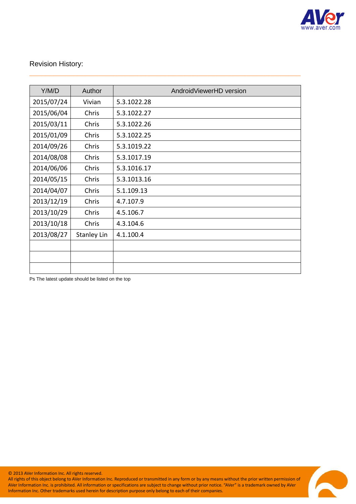

# Revision History:

| Y/M/D      | Author             | AndroidViewerHD version |
|------------|--------------------|-------------------------|
| 2015/07/24 | Vivian             | 5.3.1022.28             |
| 2015/06/04 | Chris              | 5.3.1022.27             |
| 2015/03/11 | Chris              | 5.3.1022.26             |
| 2015/01/09 | Chris              | 5.3.1022.25             |
| 2014/09/26 | Chris              | 5.3.1019.22             |
| 2014/08/08 | Chris              | 5.3.1017.19             |
| 2014/06/06 | Chris              | 5.3.1016.17             |
| 2014/05/15 | Chris              | 5.3.1013.16             |
| 2014/04/07 | Chris              | 5.1.109.13              |
| 2013/12/19 | Chris              | 4.7.107.9               |
| 2013/10/29 | Chris              | 4.5.106.7               |
| 2013/10/18 | Chris              | 4.3.104.6               |
| 2013/08/27 | <b>Stanley Lin</b> | 4.1.100.4               |
|            |                    |                         |
|            |                    |                         |
|            |                    |                         |

\_\_\_\_\_\_\_\_\_\_\_\_\_\_\_\_\_\_\_\_\_\_\_\_\_\_\_\_\_\_\_\_\_\_\_\_\_\_\_\_\_\_\_\_\_\_\_\_\_\_\_\_\_\_\_\_\_\_\_\_\_\_\_\_\_\_\_\_

Ps The latest update should be listed on the top

© 2013 AVer Information Inc. All rights reserved.

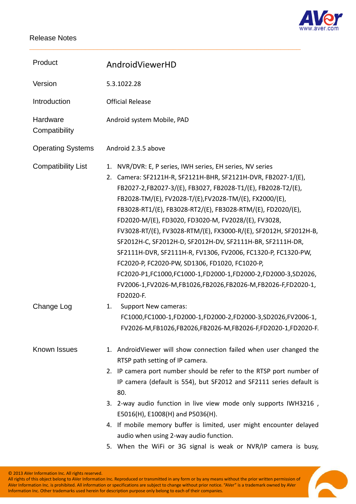

| Product                   | AndroidViewerHD                                                                                                                                                                                                                                                                                                                                                                                                                                                                                                                                                                                                                                                                                                                                                               |
|---------------------------|-------------------------------------------------------------------------------------------------------------------------------------------------------------------------------------------------------------------------------------------------------------------------------------------------------------------------------------------------------------------------------------------------------------------------------------------------------------------------------------------------------------------------------------------------------------------------------------------------------------------------------------------------------------------------------------------------------------------------------------------------------------------------------|
| Version                   | 5.3.1022.28                                                                                                                                                                                                                                                                                                                                                                                                                                                                                                                                                                                                                                                                                                                                                                   |
| Introduction              | <b>Official Release</b>                                                                                                                                                                                                                                                                                                                                                                                                                                                                                                                                                                                                                                                                                                                                                       |
| Hardware<br>Compatibility | Android system Mobile, PAD                                                                                                                                                                                                                                                                                                                                                                                                                                                                                                                                                                                                                                                                                                                                                    |
| <b>Operating Systems</b>  | Android 2.3.5 above                                                                                                                                                                                                                                                                                                                                                                                                                                                                                                                                                                                                                                                                                                                                                           |
| <b>Compatibility List</b> | NVR/DVR: E, P series, IWH series, EH series, NV series<br>1.<br>2. Camera: SF2121H-R, SF2121H-BHR, SF2121H-DVR, FB2027-1/(E),<br>FB2027-2,FB2027-3/(E), FB3027, FB2028-T1/(E), FB2028-T2/(E),<br>FB2028-TM/(E), FV2028-T/(E), FV2028-TM/(E), FX2000/(E),<br>FB3028-RT1/(E), FB3028-RT2/(E), FB3028-RTM/(E), FD2020/(E),<br>FD2020-M/(E), FD3020, FD3020-M, FV2028/(E), FV3028,<br>FV3028-RT/(E), FV3028-RTM/(E), FX3000-R/(E), SF2012H, SF2012H-B,<br>SF2012H-C, SF2012H-D, SF2012H-DV, SF2111H-BR, SF2111H-DR,<br>SF2111H-DVR, SF2111H-R, FV1306, FV2006, FC1320-P, FC1320-PW,<br>FC2020-P, FC2020-PW, SD1306, FD1020, FC1020-P,<br>FC2020-P1,FC1000,FC1000-1,FD2000-1,FD2000-2,FD2000-3,SD2026,<br>FV2006-1,FV2026-M,FB1026,FB2026,FB2026-M,FB2026-F,FD2020-1,<br>FD2020-F. |
| Change Log                | <b>Support New cameras:</b><br>1.<br>FC1000,FC1000-1,FD2000-1,FD2000-2,FD2000-3,SD2026,FV2006-1,<br>FV2026-M,FB1026,FB2026,FB2026-M,FB2026-F,FD2020-1,FD2020-F.                                                                                                                                                                                                                                                                                                                                                                                                                                                                                                                                                                                                               |
| Known Issues              | 1. AndroidViewer will show connection failed when user changed the<br>RTSP path setting of IP camera.                                                                                                                                                                                                                                                                                                                                                                                                                                                                                                                                                                                                                                                                         |
|                           | 2. IP camera port number should be refer to the RTSP port number of<br>IP camera (default is 554), but SF2012 and SF2111 series default is<br>80.                                                                                                                                                                                                                                                                                                                                                                                                                                                                                                                                                                                                                             |
|                           | 3. 2-way audio function in live view mode only supports IWH3216,<br>E5016(H), E1008(H) and P5036(H).                                                                                                                                                                                                                                                                                                                                                                                                                                                                                                                                                                                                                                                                          |
|                           | 4. If mobile memory buffer is limited, user might encounter delayed<br>audio when using 2-way audio function.                                                                                                                                                                                                                                                                                                                                                                                                                                                                                                                                                                                                                                                                 |
|                           | 5. When the WiFi or 3G signal is weak or NVR/IP camera is busy,                                                                                                                                                                                                                                                                                                                                                                                                                                                                                                                                                                                                                                                                                                               |

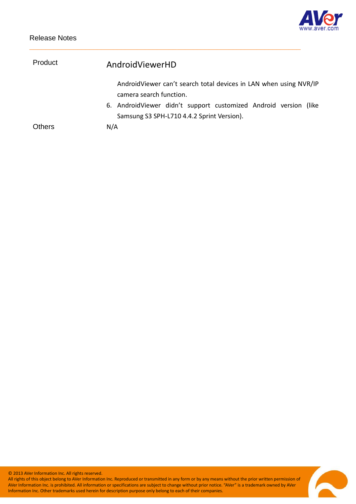

| Product       | AndroidViewerHD                                                                              |
|---------------|----------------------------------------------------------------------------------------------|
|               | AndroidViewer can't search total devices in LAN when using NVR/IP<br>camera search function. |
|               | 6. AndroidViewer didn't support customized Android version (like                             |
|               | Samsung S3 SPH-L710 4.4.2 Sprint Version).                                                   |
| <b>Others</b> | N/A                                                                                          |

© 2013 AVer Information Inc. All rights reserved.

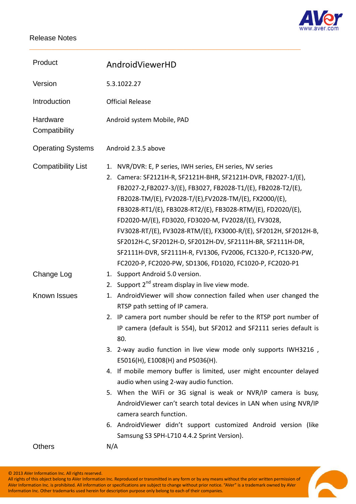

| Product                   | AndroidViewerHD                                                                                                                                                                                                                                                                                                                                                                                                                                                                                                                                                                                                                                                                                                                                                             |
|---------------------------|-----------------------------------------------------------------------------------------------------------------------------------------------------------------------------------------------------------------------------------------------------------------------------------------------------------------------------------------------------------------------------------------------------------------------------------------------------------------------------------------------------------------------------------------------------------------------------------------------------------------------------------------------------------------------------------------------------------------------------------------------------------------------------|
| Version                   | 5.3.1022.27                                                                                                                                                                                                                                                                                                                                                                                                                                                                                                                                                                                                                                                                                                                                                                 |
| Introduction              | <b>Official Release</b>                                                                                                                                                                                                                                                                                                                                                                                                                                                                                                                                                                                                                                                                                                                                                     |
| Hardware<br>Compatibility | Android system Mobile, PAD                                                                                                                                                                                                                                                                                                                                                                                                                                                                                                                                                                                                                                                                                                                                                  |
| <b>Operating Systems</b>  | Android 2.3.5 above                                                                                                                                                                                                                                                                                                                                                                                                                                                                                                                                                                                                                                                                                                                                                         |
| <b>Compatibility List</b> | NVR/DVR: E, P series, IWH series, EH series, NV series<br>1.<br>Camera: SF2121H-R, SF2121H-BHR, SF2121H-DVR, FB2027-1/(E),<br>2.<br>FB2027-2,FB2027-3/(E), FB3027, FB2028-T1/(E), FB2028-T2/(E),<br>FB2028-TM/(E), FV2028-T/(E), FV2028-TM/(E), FX2000/(E),<br>FB3028-RT1/(E), FB3028-RT2/(E), FB3028-RTM/(E), FD2020/(E),<br>FD2020-M/(E), FD3020, FD3020-M, FV2028/(E), FV3028,<br>FV3028-RT/(E), FV3028-RTM/(E), FX3000-R/(E), SF2012H, SF2012H-B,<br>SF2012H-C, SF2012H-D, SF2012H-DV, SF2111H-BR, SF2111H-DR,<br>SF2111H-DVR, SF2111H-R, FV1306, FV2006, FC1320-P, FC1320-PW,<br>FC2020-P, FC2020-PW, SD1306, FD1020, FC1020-P, FC2020-P1                                                                                                                              |
| Change Log                | Support Android 5.0 version.<br>1.<br>Support 2 <sup>nd</sup> stream display in live view mode.<br>2.                                                                                                                                                                                                                                                                                                                                                                                                                                                                                                                                                                                                                                                                       |
| Known Issues              | AndroidViewer will show connection failed when user changed the<br>1.<br>RTSP path setting of IP camera.<br>2. IP camera port number should be refer to the RTSP port number of<br>IP camera (default is 554), but SF2012 and SF2111 series default is<br>80.<br>3. 2-way audio function in live view mode only supports IWH3216,<br>E5016(H), E1008(H) and P5036(H).<br>4. If mobile memory buffer is limited, user might encounter delayed<br>audio when using 2-way audio function.<br>5. When the WiFi or 3G signal is weak or NVR/IP camera is busy,<br>AndroidViewer can't search total devices in LAN when using NVR/IP<br>camera search function.<br>6. AndroidViewer didn't support customized Android version (like<br>Samsung S3 SPH-L710 4.4.2 Sprint Version). |
| <b>Others</b>             | N/A                                                                                                                                                                                                                                                                                                                                                                                                                                                                                                                                                                                                                                                                                                                                                                         |

\_\_\_\_\_\_\_\_\_\_\_\_\_\_\_\_\_\_\_\_\_\_\_\_\_\_\_\_\_\_\_\_\_\_\_\_\_\_\_\_\_\_\_\_\_\_\_\_\_\_\_\_\_\_\_\_\_\_\_\_\_\_\_\_\_\_\_\_

© 2013 AVer Information Inc. All rights reserved.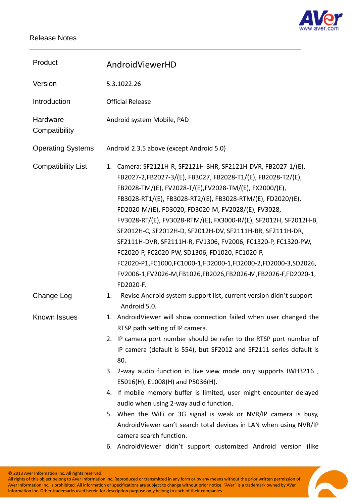

| Product                   | AndroidViewerHD                                                                                                                                                                                                                                                                                                                                                                                                                                                                                                                                                                                                                                                                                                  |
|---------------------------|------------------------------------------------------------------------------------------------------------------------------------------------------------------------------------------------------------------------------------------------------------------------------------------------------------------------------------------------------------------------------------------------------------------------------------------------------------------------------------------------------------------------------------------------------------------------------------------------------------------------------------------------------------------------------------------------------------------|
| Version                   | 5.3.1022.26                                                                                                                                                                                                                                                                                                                                                                                                                                                                                                                                                                                                                                                                                                      |
| Introduction              | <b>Official Release</b>                                                                                                                                                                                                                                                                                                                                                                                                                                                                                                                                                                                                                                                                                          |
| Hardware<br>Compatibility | Android system Mobile, PAD                                                                                                                                                                                                                                                                                                                                                                                                                                                                                                                                                                                                                                                                                       |
| <b>Operating Systems</b>  | Android 2.3.5 above (except Android 5.0)                                                                                                                                                                                                                                                                                                                                                                                                                                                                                                                                                                                                                                                                         |
| <b>Compatibility List</b> | Camera: SF2121H-R, SF2121H-BHR, SF2121H-DVR, FB2027-1/(E),<br>1.<br>FB2027-2,FB2027-3/(E), FB3027, FB2028-T1/(E), FB2028-T2/(E),<br>FB2028-TM/(E), FV2028-T/(E), FV2028-TM/(E), FX2000/(E),<br>FB3028-RT1/(E), FB3028-RT2/(E), FB3028-RTM/(E), FD2020/(E),<br>FD2020-M/(E), FD3020, FD3020-M, FV2028/(E), FV3028,<br>FV3028-RT/(E), FV3028-RTM/(E), FX3000-R/(E), SF2012H, SF2012H-B,<br>SF2012H-C, SF2012H-D, SF2012H-DV, SF2111H-BR, SF2111H-DR,<br>SF2111H-DVR, SF2111H-R, FV1306, FV2006, FC1320-P, FC1320-PW,<br>FC2020-P, FC2020-PW, SD1306, FD1020, FC1020-P,<br>FC2020-P1,FC1000,FC1000-1,FD2000-1,FD2000-2,FD2000-3,SD2026,<br>FV2006-1,FV2026-M,FB1026,FB2026,FB2026-M,FB2026-F,FD2020-1,<br>FD2020-F. |
| Change Log                | Revise Android system support list, current version didn't support<br>1.<br>Android 5.0.                                                                                                                                                                                                                                                                                                                                                                                                                                                                                                                                                                                                                         |
| Known Issues              | 1. AndroidViewer will show connection failed when user changed the<br>RTSP path setting of IP camera.                                                                                                                                                                                                                                                                                                                                                                                                                                                                                                                                                                                                            |
|                           | 2. IP camera port number should be refer to the RTSP port number of<br>IP camera (default is 554), but SF2012 and SF2111 series default is<br>80.                                                                                                                                                                                                                                                                                                                                                                                                                                                                                                                                                                |
|                           | 3. 2-way audio function in live view mode only supports IWH3216,<br>E5016(H), E1008(H) and P5036(H).                                                                                                                                                                                                                                                                                                                                                                                                                                                                                                                                                                                                             |
|                           | 4. If mobile memory buffer is limited, user might encounter delayed<br>audio when using 2-way audio function.                                                                                                                                                                                                                                                                                                                                                                                                                                                                                                                                                                                                    |
|                           | 5. When the WiFi or 3G signal is weak or NVR/IP camera is busy,<br>AndroidViewer can't search total devices in LAN when using NVR/IP<br>camera search function.                                                                                                                                                                                                                                                                                                                                                                                                                                                                                                                                                  |
|                           | 6. AndroidViewer didn't support customized Android version (like                                                                                                                                                                                                                                                                                                                                                                                                                                                                                                                                                                                                                                                 |

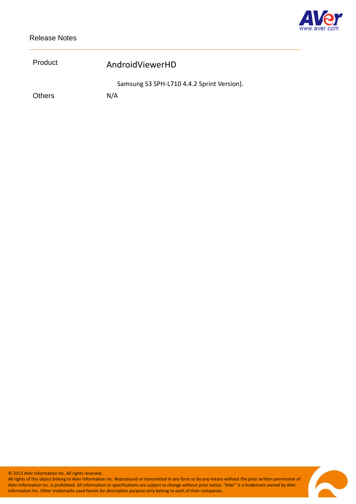

| Product       | AndroidViewerHD                            |
|---------------|--------------------------------------------|
|               | Samsung S3 SPH-L710 4.4.2 Sprint Version). |
| <b>Others</b> | N/A                                        |

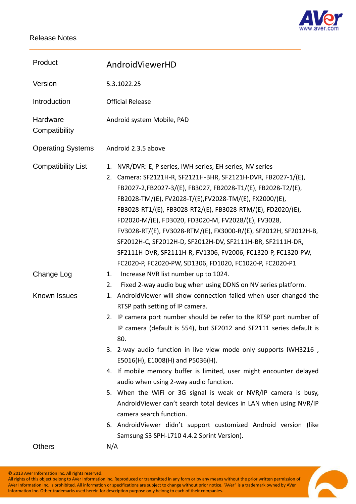

| Product                   | AndroidViewerHD                                                                                                                                                                                                                                                                                                                                                                                                                                                                                                                                                                                                                                |
|---------------------------|------------------------------------------------------------------------------------------------------------------------------------------------------------------------------------------------------------------------------------------------------------------------------------------------------------------------------------------------------------------------------------------------------------------------------------------------------------------------------------------------------------------------------------------------------------------------------------------------------------------------------------------------|
| Version                   | 5.3.1022.25                                                                                                                                                                                                                                                                                                                                                                                                                                                                                                                                                                                                                                    |
| Introduction              | <b>Official Release</b>                                                                                                                                                                                                                                                                                                                                                                                                                                                                                                                                                                                                                        |
| Hardware<br>Compatibility | Android system Mobile, PAD                                                                                                                                                                                                                                                                                                                                                                                                                                                                                                                                                                                                                     |
| <b>Operating Systems</b>  | Android 2.3.5 above                                                                                                                                                                                                                                                                                                                                                                                                                                                                                                                                                                                                                            |
| <b>Compatibility List</b> | NVR/DVR: E, P series, IWH series, EH series, NV series<br>1.<br>Camera: SF2121H-R, SF2121H-BHR, SF2121H-DVR, FB2027-1/(E),<br>2.<br>FB2027-2,FB2027-3/(E), FB3027, FB2028-T1/(E), FB2028-T2/(E),<br>FB2028-TM/(E), FV2028-T/(E), FV2028-TM/(E), FX2000/(E),<br>FB3028-RT1/(E), FB3028-RT2/(E), FB3028-RTM/(E), FD2020/(E),<br>FD2020-M/(E), FD3020, FD3020-M, FV2028/(E), FV3028,<br>FV3028-RT/(E), FV3028-RTM/(E), FX3000-R/(E), SF2012H, SF2012H-B,<br>SF2012H-C, SF2012H-D, SF2012H-DV, SF2111H-BR, SF2111H-DR,<br>SF2111H-DVR, SF2111H-R, FV1306, FV2006, FC1320-P, FC1320-PW,<br>FC2020-P, FC2020-PW, SD1306, FD1020, FC1020-P, FC2020-P1 |
| Change Log                | Increase NVR list number up to 1024.<br>1.<br>Fixed 2-way audio bug when using DDNS on NV series platform.<br>2.                                                                                                                                                                                                                                                                                                                                                                                                                                                                                                                               |
| Known Issues              | AndroidViewer will show connection failed when user changed the<br>1.<br>RTSP path setting of IP camera.<br>IP camera port number should be refer to the RTSP port number of<br>2.<br>IP camera (default is 554), but SF2012 and SF2111 series default is<br>80.<br>3. 2-way audio function in live view mode only supports IWH3216,<br>E5016(H), E1008(H) and P5036(H).<br>4. If mobile memory buffer is limited, user might encounter delayed<br>audio when using 2-way audio function.                                                                                                                                                      |
|                           | 5. When the WiFi or 3G signal is weak or NVR/IP camera is busy,<br>AndroidViewer can't search total devices in LAN when using NVR/IP<br>camera search function.                                                                                                                                                                                                                                                                                                                                                                                                                                                                                |
|                           | 6. AndroidViewer didn't support customized Android version (like<br>Samsung S3 SPH-L710 4.4.2 Sprint Version).                                                                                                                                                                                                                                                                                                                                                                                                                                                                                                                                 |
| <b>Others</b>             | N/A                                                                                                                                                                                                                                                                                                                                                                                                                                                                                                                                                                                                                                            |

\_\_\_\_\_\_\_\_\_\_\_\_\_\_\_\_\_\_\_\_\_\_\_\_\_\_\_\_\_\_\_\_\_\_\_\_\_\_\_\_\_\_\_\_\_\_\_\_\_\_\_\_\_\_\_\_\_\_\_\_\_\_\_\_\_\_\_\_

© 2013 AVer Information Inc. All rights reserved.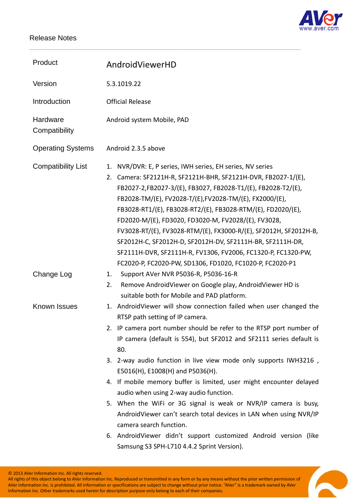

| Product                   | AndroidViewerHD                                                                                                                                                                                                                                                                                                                                                                                                                                                                                                                                                                                                                                |
|---------------------------|------------------------------------------------------------------------------------------------------------------------------------------------------------------------------------------------------------------------------------------------------------------------------------------------------------------------------------------------------------------------------------------------------------------------------------------------------------------------------------------------------------------------------------------------------------------------------------------------------------------------------------------------|
| Version                   | 5.3.1019.22                                                                                                                                                                                                                                                                                                                                                                                                                                                                                                                                                                                                                                    |
| Introduction              | <b>Official Release</b>                                                                                                                                                                                                                                                                                                                                                                                                                                                                                                                                                                                                                        |
| Hardware<br>Compatibility | Android system Mobile, PAD                                                                                                                                                                                                                                                                                                                                                                                                                                                                                                                                                                                                                     |
| <b>Operating Systems</b>  | Android 2.3.5 above                                                                                                                                                                                                                                                                                                                                                                                                                                                                                                                                                                                                                            |
| <b>Compatibility List</b> | NVR/DVR: E, P series, IWH series, EH series, NV series<br>1.<br>Camera: SF2121H-R, SF2121H-BHR, SF2121H-DVR, FB2027-1/(E),<br>2.<br>FB2027-2,FB2027-3/(E), FB3027, FB2028-T1/(E), FB2028-T2/(E),<br>FB2028-TM/(E), FV2028-T/(E), FV2028-TM/(E), FX2000/(E),<br>FB3028-RT1/(E), FB3028-RT2/(E), FB3028-RTM/(E), FD2020/(E),<br>FD2020-M/(E), FD3020, FD3020-M, FV2028/(E), FV3028,<br>FV3028-RT/(E), FV3028-RTM/(E), FX3000-R/(E), SF2012H, SF2012H-B,<br>SF2012H-C, SF2012H-D, SF2012H-DV, SF2111H-BR, SF2111H-DR,<br>SF2111H-DVR, SF2111H-R, FV1306, FV2006, FC1320-P, FC1320-PW,<br>FC2020-P, FC2020-PW, SD1306, FD1020, FC1020-P, FC2020-P1 |
| Change Log                | Support AVer NVR P5036-R, P5036-16-R<br>1.<br>Remove AndroidViewer on Google play, AndroidViewer HD is<br>2.<br>suitable both for Mobile and PAD platform.                                                                                                                                                                                                                                                                                                                                                                                                                                                                                     |
| <b>Known Issues</b>       | 1. AndroidViewer will show connection failed when user changed the<br>RTSP path setting of IP camera.                                                                                                                                                                                                                                                                                                                                                                                                                                                                                                                                          |
|                           | 2. IP camera port number should be refer to the RTSP port number of<br>IP camera (default is 554), but SF2012 and SF2111 series default is<br>80.                                                                                                                                                                                                                                                                                                                                                                                                                                                                                              |
|                           | 3. 2-way audio function in live view mode only supports IWH3216,<br>E5016(H), E1008(H) and P5036(H).                                                                                                                                                                                                                                                                                                                                                                                                                                                                                                                                           |
|                           | 4. If mobile memory buffer is limited, user might encounter delayed                                                                                                                                                                                                                                                                                                                                                                                                                                                                                                                                                                            |
|                           | audio when using 2-way audio function.<br>5. When the WiFi or 3G signal is weak or NVR/IP camera is busy,<br>AndroidViewer can't search total devices in LAN when using NVR/IP<br>camera search function.                                                                                                                                                                                                                                                                                                                                                                                                                                      |
|                           | 6. AndroidViewer didn't support customized Android version (like<br>Samsung S3 SPH-L710 4.4.2 Sprint Version).                                                                                                                                                                                                                                                                                                                                                                                                                                                                                                                                 |

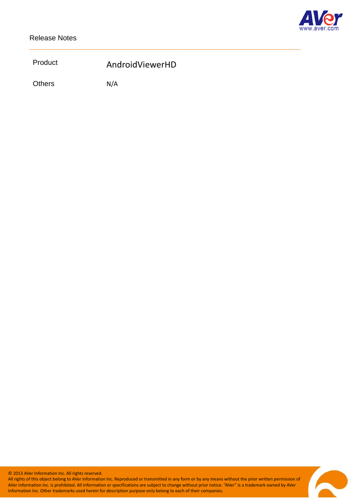

# Product AndroidViewerHD

\_\_\_\_\_\_\_\_\_\_\_\_\_\_\_\_\_\_\_\_\_\_\_\_\_\_\_\_\_\_\_\_\_\_\_\_\_\_\_\_\_\_\_\_\_\_\_\_\_\_\_\_\_\_\_\_\_\_\_\_\_\_\_\_\_\_\_\_

Others N/A

© 2013 AVer Information Inc. All rights reserved.

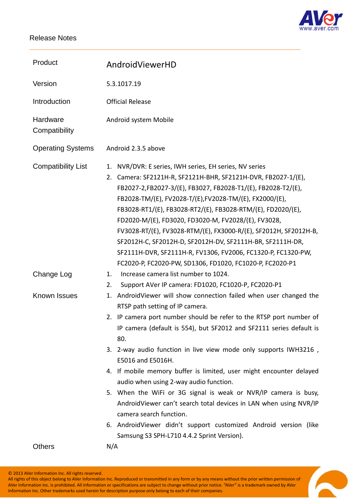

| Product                   | AndroidViewerHD                                                                                                                                                                                                                                                                                                                                                                                                                                                                                                                                                                                                                             |
|---------------------------|---------------------------------------------------------------------------------------------------------------------------------------------------------------------------------------------------------------------------------------------------------------------------------------------------------------------------------------------------------------------------------------------------------------------------------------------------------------------------------------------------------------------------------------------------------------------------------------------------------------------------------------------|
| Version                   | 5.3.1017.19                                                                                                                                                                                                                                                                                                                                                                                                                                                                                                                                                                                                                                 |
| Introduction              | <b>Official Release</b>                                                                                                                                                                                                                                                                                                                                                                                                                                                                                                                                                                                                                     |
| Hardware<br>Compatibility | Android system Mobile                                                                                                                                                                                                                                                                                                                                                                                                                                                                                                                                                                                                                       |
| <b>Operating Systems</b>  | Android 2.3.5 above                                                                                                                                                                                                                                                                                                                                                                                                                                                                                                                                                                                                                         |
| <b>Compatibility List</b> | NVR/DVR: E series, IWH series, EH series, NV series<br>1.<br>Camera: SF2121H-R, SF2121H-BHR, SF2121H-DVR, FB2027-1/(E),<br>2.<br>FB2027-2,FB2027-3/(E), FB3027, FB2028-T1/(E), FB2028-T2/(E),<br>FB2028-TM/(E), FV2028-T/(E), FV2028-TM/(E), FX2000/(E),<br>FB3028-RT1/(E), FB3028-RT2/(E), FB3028-RTM/(E), FD2020/(E),<br>FD2020-M/(E), FD3020, FD3020-M, FV2028/(E), FV3028,<br>FV3028-RT/(E), FV3028-RTM/(E), FX3000-R/(E), SF2012H, SF2012H-B,<br>SF2012H-C, SF2012H-D, SF2012H-DV, SF2111H-BR, SF2111H-DR,<br>SF2111H-DVR, SF2111H-R, FV1306, FV2006, FC1320-P, FC1320-PW,<br>FC2020-P, FC2020-PW, SD1306, FD1020, FC1020-P, FC2020-P1 |
| Change Log                | Increase camera list number to 1024.<br>1.<br>Support AVer IP camera: FD1020, FC1020-P, FC2020-P1<br>2.                                                                                                                                                                                                                                                                                                                                                                                                                                                                                                                                     |
| Known Issues              | AndroidViewer will show connection failed when user changed the<br>1.<br>RTSP path setting of IP camera.<br>2. IP camera port number should be refer to the RTSP port number of<br>IP camera (default is 554), but SF2012 and SF2111 series default is<br>80.<br>3. 2-way audio function in live view mode only supports IWH3216,                                                                                                                                                                                                                                                                                                           |
|                           | E5016 and E5016H.<br>4. If mobile memory buffer is limited, user might encounter delayed<br>audio when using 2-way audio function.                                                                                                                                                                                                                                                                                                                                                                                                                                                                                                          |
|                           | 5. When the WiFi or 3G signal is weak or NVR/IP camera is busy,<br>AndroidViewer can't search total devices in LAN when using NVR/IP<br>camera search function.                                                                                                                                                                                                                                                                                                                                                                                                                                                                             |
|                           | 6. AndroidViewer didn't support customized Android version (like<br>Samsung S3 SPH-L710 4.4.2 Sprint Version).                                                                                                                                                                                                                                                                                                                                                                                                                                                                                                                              |
| <b>Others</b>             | N/A                                                                                                                                                                                                                                                                                                                                                                                                                                                                                                                                                                                                                                         |

\_\_\_\_\_\_\_\_\_\_\_\_\_\_\_\_\_\_\_\_\_\_\_\_\_\_\_\_\_\_\_\_\_\_\_\_\_\_\_\_\_\_\_\_\_\_\_\_\_\_\_\_\_\_\_\_\_\_\_\_\_\_\_\_\_\_\_\_

© 2013 AVer Information Inc. All rights reserved.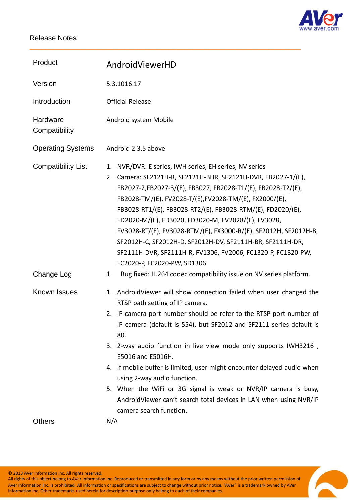

| Product                   | AndroidViewerHD                                                                                                                                                                                                                                                                                                                                                                                                                                                                                                                                                                                                                  |
|---------------------------|----------------------------------------------------------------------------------------------------------------------------------------------------------------------------------------------------------------------------------------------------------------------------------------------------------------------------------------------------------------------------------------------------------------------------------------------------------------------------------------------------------------------------------------------------------------------------------------------------------------------------------|
| Version                   | 5.3.1016.17                                                                                                                                                                                                                                                                                                                                                                                                                                                                                                                                                                                                                      |
| Introduction              | <b>Official Release</b>                                                                                                                                                                                                                                                                                                                                                                                                                                                                                                                                                                                                          |
| Hardware<br>Compatibility | Android system Mobile                                                                                                                                                                                                                                                                                                                                                                                                                                                                                                                                                                                                            |
| <b>Operating Systems</b>  | Android 2.3.5 above                                                                                                                                                                                                                                                                                                                                                                                                                                                                                                                                                                                                              |
| <b>Compatibility List</b> | NVR/DVR: E series, IWH series, EH series, NV series<br>1.<br>2. Camera: SF2121H-R, SF2121H-BHR, SF2121H-DVR, FB2027-1/(E),<br>FB2027-2,FB2027-3/(E), FB3027, FB2028-T1/(E), FB2028-T2/(E),<br>FB2028-TM/(E), FV2028-T/(E), FV2028-TM/(E), FX2000/(E),<br>FB3028-RT1/(E), FB3028-RT2/(E), FB3028-RTM/(E), FD2020/(E),<br>FD2020-M/(E), FD3020, FD3020-M, FV2028/(E), FV3028,<br>FV3028-RT/(E), FV3028-RTM/(E), FX3000-R/(E), SF2012H, SF2012H-B,<br>SF2012H-C, SF2012H-D, SF2012H-DV, SF2111H-BR, SF2111H-DR,<br>SF2111H-DVR, SF2111H-R, FV1306, FV2006, FC1320-P, FC1320-PW,<br>FC2020-P, FC2020-PW, SD1306                      |
| Change Log                | Bug fixed: H.264 codec compatibility issue on NV series platform.<br>1.                                                                                                                                                                                                                                                                                                                                                                                                                                                                                                                                                          |
| Known Issues              | 1. AndroidViewer will show connection failed when user changed the<br>RTSP path setting of IP camera.<br>2. IP camera port number should be refer to the RTSP port number of<br>IP camera (default is 554), but SF2012 and SF2111 series default is<br>80.<br>3. 2-way audio function in live view mode only supports IWH3216,<br>E5016 and E5016H.<br>4. If mobile buffer is limited, user might encounter delayed audio when<br>using 2-way audio function.<br>5. When the WiFi or 3G signal is weak or NVR/IP camera is busy,<br>AndroidViewer can't search total devices in LAN when using NVR/IP<br>camera search function. |
| <b>Others</b>             | N/A                                                                                                                                                                                                                                                                                                                                                                                                                                                                                                                                                                                                                              |

\_\_\_\_\_\_\_\_\_\_\_\_\_\_\_\_\_\_\_\_\_\_\_\_\_\_\_\_\_\_\_\_\_\_\_\_\_\_\_\_\_\_\_\_\_\_\_\_\_\_\_\_\_\_\_\_\_\_\_\_\_\_\_\_\_\_\_\_

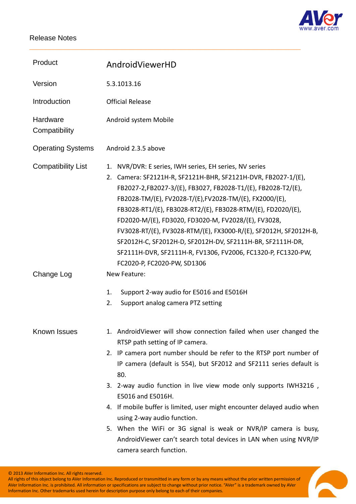

| AndroidViewerHD                                                                                                                                                                                                                                                                                                                                                                                                                                                                                                                                                                                                                  |
|----------------------------------------------------------------------------------------------------------------------------------------------------------------------------------------------------------------------------------------------------------------------------------------------------------------------------------------------------------------------------------------------------------------------------------------------------------------------------------------------------------------------------------------------------------------------------------------------------------------------------------|
| 5.3.1013.16                                                                                                                                                                                                                                                                                                                                                                                                                                                                                                                                                                                                                      |
| <b>Official Release</b>                                                                                                                                                                                                                                                                                                                                                                                                                                                                                                                                                                                                          |
| Android system Mobile                                                                                                                                                                                                                                                                                                                                                                                                                                                                                                                                                                                                            |
| Android 2.3.5 above                                                                                                                                                                                                                                                                                                                                                                                                                                                                                                                                                                                                              |
| NVR/DVR: E series, IWH series, EH series, NV series<br>1.<br>2. Camera: SF2121H-R, SF2121H-BHR, SF2121H-DVR, FB2027-1/(E),<br>FB2027-2,FB2027-3/(E), FB3027, FB2028-T1/(E), FB2028-T2/(E),<br>FB2028-TM/(E), FV2028-T/(E), FV2028-TM/(E), FX2000/(E),<br>FB3028-RT1/(E), FB3028-RT2/(E), FB3028-RTM/(E), FD2020/(E),<br>FD2020-M/(E), FD3020, FD3020-M, FV2028/(E), FV3028,<br>FV3028-RT/(E), FV3028-RTM/(E), FX3000-R/(E), SF2012H, SF2012H-B,<br>SF2012H-C, SF2012H-D, SF2012H-DV, SF2111H-BR, SF2111H-DR,<br>SF2111H-DVR, SF2111H-R, FV1306, FV2006, FC1320-P, FC1320-PW,<br>FC2020-P, FC2020-PW, SD1306                      |
| New Feature:                                                                                                                                                                                                                                                                                                                                                                                                                                                                                                                                                                                                                     |
| Support 2-way audio for E5016 and E5016H<br>1.<br>2.<br>Support analog camera PTZ setting                                                                                                                                                                                                                                                                                                                                                                                                                                                                                                                                        |
|                                                                                                                                                                                                                                                                                                                                                                                                                                                                                                                                                                                                                                  |
| 1. AndroidViewer will show connection failed when user changed the<br>RTSP path setting of IP camera.<br>2. IP camera port number should be refer to the RTSP port number of<br>IP camera (default is 554), but SF2012 and SF2111 series default is<br>80.<br>3. 2-way audio function in live view mode only supports IWH3216,<br>E5016 and E5016H.<br>4. If mobile buffer is limited, user might encounter delayed audio when<br>using 2-way audio function.<br>5. When the WiFi or 3G signal is weak or NVR/IP camera is busy,<br>AndroidViewer can't search total devices in LAN when using NVR/IP<br>camera search function. |
|                                                                                                                                                                                                                                                                                                                                                                                                                                                                                                                                                                                                                                  |

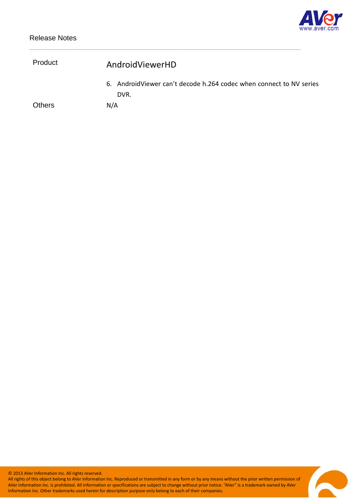

| Product       | AndroidViewerHD                                                             |  |
|---------------|-----------------------------------------------------------------------------|--|
|               | 6. AndroidViewer can't decode h.264 codec when connect to NV series<br>DVR. |  |
| <b>Others</b> | N/A                                                                         |  |

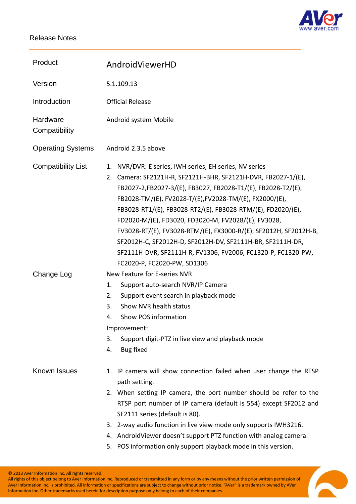

| Product                   | AndroidViewerHD                                                                                                                                                                                                                                                                                                                                                                                                                                                                                                                                                                                             |
|---------------------------|-------------------------------------------------------------------------------------------------------------------------------------------------------------------------------------------------------------------------------------------------------------------------------------------------------------------------------------------------------------------------------------------------------------------------------------------------------------------------------------------------------------------------------------------------------------------------------------------------------------|
| Version                   | 5.1.109.13                                                                                                                                                                                                                                                                                                                                                                                                                                                                                                                                                                                                  |
| Introduction              | <b>Official Release</b>                                                                                                                                                                                                                                                                                                                                                                                                                                                                                                                                                                                     |
| Hardware<br>Compatibility | Android system Mobile                                                                                                                                                                                                                                                                                                                                                                                                                                                                                                                                                                                       |
| <b>Operating Systems</b>  | Android 2.3.5 above                                                                                                                                                                                                                                                                                                                                                                                                                                                                                                                                                                                         |
| <b>Compatibility List</b> | NVR/DVR: E series, IWH series, EH series, NV series<br>1.<br>2. Camera: SF2121H-R, SF2121H-BHR, SF2121H-DVR, FB2027-1/(E),<br>FB2027-2,FB2027-3/(E), FB3027, FB2028-T1/(E), FB2028-T2/(E),<br>FB2028-TM/(E), FV2028-T/(E), FV2028-TM/(E), FX2000/(E),<br>FB3028-RT1/(E), FB3028-RT2/(E), FB3028-RTM/(E), FD2020/(E),<br>FD2020-M/(E), FD3020, FD3020-M, FV2028/(E), FV3028,<br>FV3028-RT/(E), FV3028-RTM/(E), FX3000-R/(E), SF2012H, SF2012H-B,<br>SF2012H-C, SF2012H-D, SF2012H-DV, SF2111H-BR, SF2111H-DR,<br>SF2111H-DVR, SF2111H-R, FV1306, FV2006, FC1320-P, FC1320-PW,<br>FC2020-P, FC2020-PW, SD1306 |
| Change Log                | New Feature for E-series NVR<br>Support auto-search NVR/IP Camera<br>1.<br>Support event search in playback mode<br>2.<br>Show NVR health status<br>3.<br>Show POS information<br>4.<br>Improvement:<br>3.<br>Support digit-PTZ in live view and playback mode<br>4.<br><b>Bug fixed</b>                                                                                                                                                                                                                                                                                                                    |
| Known Issues              | 1. IP camera will show connection failed when user change the RTSP<br>path setting.<br>2. When setting IP camera, the port number should be refer to the<br>RTSP port number of IP camera (default is 554) except SF2012 and<br>SF2111 series (default is 80).<br>2-way audio function in live view mode only supports IWH3216.<br>3.<br>4. AndroidViewer doesn't support PTZ function with analog camera.                                                                                                                                                                                                  |

\_\_\_\_\_\_\_\_\_\_\_\_\_\_\_\_\_\_\_\_\_\_\_\_\_\_\_\_\_\_\_\_\_\_\_\_\_\_\_\_\_\_\_\_\_\_\_\_\_\_\_\_\_\_\_\_\_\_\_\_\_\_\_\_\_\_\_\_

5. POS information only support playback mode in this version.

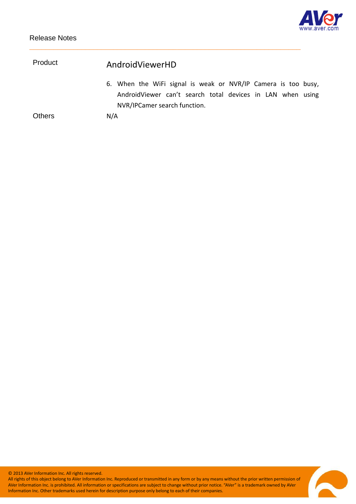

| Product       | AndroidViewerHD                                               |
|---------------|---------------------------------------------------------------|
|               | 6. When the WiFi signal is weak or NVR/IP Camera is too busy, |
|               | AndroidViewer can't search total devices in LAN when using    |
|               | NVR/IPCamer search function.                                  |
| <b>Others</b> | N/A                                                           |

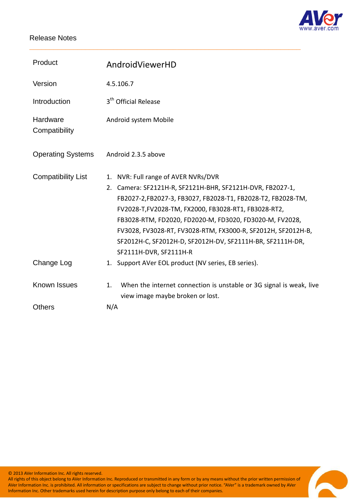

| Product                   | AndroidViewerHD                                                                                                                                                                                                                                                                                                                                                                                                                                                                                        |
|---------------------------|--------------------------------------------------------------------------------------------------------------------------------------------------------------------------------------------------------------------------------------------------------------------------------------------------------------------------------------------------------------------------------------------------------------------------------------------------------------------------------------------------------|
| Version                   | 4.5.106.7                                                                                                                                                                                                                                                                                                                                                                                                                                                                                              |
| Introduction              | 3 <sup>th</sup> Official Release                                                                                                                                                                                                                                                                                                                                                                                                                                                                       |
| Hardware<br>Compatibility | Android system Mobile                                                                                                                                                                                                                                                                                                                                                                                                                                                                                  |
| <b>Operating Systems</b>  | Android 2.3.5 above                                                                                                                                                                                                                                                                                                                                                                                                                                                                                    |
| <b>Compatibility List</b> | NVR: Full range of AVER NVRs/DVR<br>1.<br>Camera: SF2121H-R, SF2121H-BHR, SF2121H-DVR, FB2027-1,<br>2.<br>FB2027-2,FB2027-3, FB3027, FB2028-T1, FB2028-T2, FB2028-TM,<br>FV2028-T, FV2028-TM, FX2000, FB3028-RT1, FB3028-RT2,<br>FB3028-RTM, FD2020, FD2020-M, FD3020, FD3020-M, FV2028,<br>FV3028, FV3028-RT, FV3028-RTM, FX3000-R, SF2012H, SF2012H-B,<br>SF2012H-C, SF2012H-D, SF2012H-DV, SF2111H-BR, SF2111H-DR,<br>SF2111H-DVR, SF2111H-R<br>1. Support AVer EOL product (NV series, EB series). |
| Change Log                |                                                                                                                                                                                                                                                                                                                                                                                                                                                                                                        |
| Known Issues              | When the internet connection is unstable or 3G signal is weak, live<br>1.<br>view image maybe broken or lost.                                                                                                                                                                                                                                                                                                                                                                                          |
| <b>Others</b>             | N/A                                                                                                                                                                                                                                                                                                                                                                                                                                                                                                    |

\_\_\_\_\_\_\_\_\_\_\_\_\_\_\_\_\_\_\_\_\_\_\_\_\_\_\_\_\_\_\_\_\_\_\_\_\_\_\_\_\_\_\_\_\_\_\_\_\_\_\_\_\_\_\_\_\_\_\_\_\_\_\_\_\_\_\_\_

© 2013 AVer Information Inc. All rights reserved.

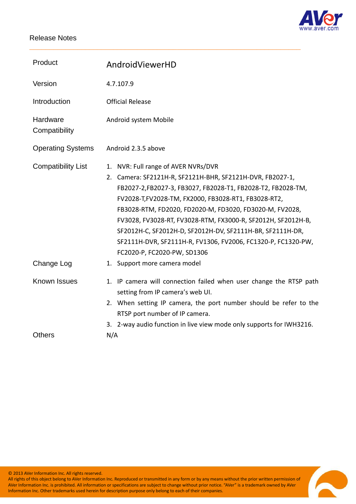

| Product                   | AndroidViewerHD                                                                                                                                                                                                                                                                                                                                                                                                                                                                                                     |
|---------------------------|---------------------------------------------------------------------------------------------------------------------------------------------------------------------------------------------------------------------------------------------------------------------------------------------------------------------------------------------------------------------------------------------------------------------------------------------------------------------------------------------------------------------|
| Version                   | 4.7.107.9                                                                                                                                                                                                                                                                                                                                                                                                                                                                                                           |
| Introduction              | <b>Official Release</b>                                                                                                                                                                                                                                                                                                                                                                                                                                                                                             |
| Hardware<br>Compatibility | Android system Mobile                                                                                                                                                                                                                                                                                                                                                                                                                                                                                               |
| <b>Operating Systems</b>  | Android 2.3.5 above                                                                                                                                                                                                                                                                                                                                                                                                                                                                                                 |
| <b>Compatibility List</b> | NVR: Full range of AVER NVRs/DVR<br>1.<br>Camera: SF2121H-R, SF2121H-BHR, SF2121H-DVR, FB2027-1,<br>2.<br>FB2027-2,FB2027-3, FB3027, FB2028-T1, FB2028-T2, FB2028-TM,<br>FV2028-T,FV2028-TM, FX2000, FB3028-RT1, FB3028-RT2,<br>FB3028-RTM, FD2020, FD2020-M, FD3020, FD3020-M, FV2028,<br>FV3028, FV3028-RT, FV3028-RTM, FX3000-R, SF2012H, SF2012H-B,<br>SF2012H-C, SF2012H-D, SF2012H-DV, SF2111H-BR, SF2111H-DR,<br>SF2111H-DVR, SF2111H-R, FV1306, FV2006, FC1320-P, FC1320-PW,<br>FC2020-P, FC2020-PW, SD1306 |
| Change Log                | 1. Support more camera model                                                                                                                                                                                                                                                                                                                                                                                                                                                                                        |
| Known Issues              | 1. IP camera will connection failed when user change the RTSP path<br>setting from IP camera's web UI.<br>2. When setting IP camera, the port number should be refer to the<br>RTSP port number of IP camera.<br>3. 2-way audio function in live view mode only supports for IWH3216.                                                                                                                                                                                                                               |
| <b>Others</b>             | N/A                                                                                                                                                                                                                                                                                                                                                                                                                                                                                                                 |

\_\_\_\_\_\_\_\_\_\_\_\_\_\_\_\_\_\_\_\_\_\_\_\_\_\_\_\_\_\_\_\_\_\_\_\_\_\_\_\_\_\_\_\_\_\_\_\_\_\_\_\_\_\_\_\_\_\_\_\_\_\_\_\_\_\_\_\_

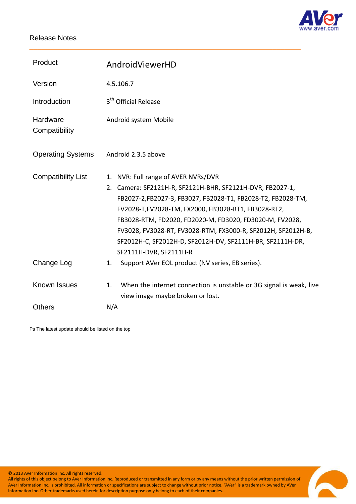

| Product                   | AndroidViewerHD                                                                                                                                                                                                                                                                                                                                                                                                                                |
|---------------------------|------------------------------------------------------------------------------------------------------------------------------------------------------------------------------------------------------------------------------------------------------------------------------------------------------------------------------------------------------------------------------------------------------------------------------------------------|
| Version                   | 4.5.106.7                                                                                                                                                                                                                                                                                                                                                                                                                                      |
| Introduction              | 3 <sup>th</sup> Official Release                                                                                                                                                                                                                                                                                                                                                                                                               |
| Hardware<br>Compatibility | Android system Mobile                                                                                                                                                                                                                                                                                                                                                                                                                          |
| <b>Operating Systems</b>  | Android 2.3.5 above                                                                                                                                                                                                                                                                                                                                                                                                                            |
| <b>Compatibility List</b> | NVR: Full range of AVER NVRs/DVR<br>1.<br>Camera: SF2121H-R, SF2121H-BHR, SF2121H-DVR, FB2027-1,<br>2.<br>FB2027-2,FB2027-3, FB3027, FB2028-T1, FB2028-T2, FB2028-TM,<br>FV2028-T,FV2028-TM, FX2000, FB3028-RT1, FB3028-RT2,<br>FB3028-RTM, FD2020, FD2020-M, FD3020, FD3020-M, FV2028,<br>FV3028, FV3028-RT, FV3028-RTM, FX3000-R, SF2012H, SF2012H-B,<br>SF2012H-C, SF2012H-D, SF2012H-DV, SF2111H-BR, SF2111H-DR,<br>SF2111H-DVR, SF2111H-R |
| Change Log                | Support AVer EOL product (NV series, EB series).<br>1.                                                                                                                                                                                                                                                                                                                                                                                         |
| Known Issues              | When the internet connection is unstable or 3G signal is weak, live<br>1.<br>view image maybe broken or lost.                                                                                                                                                                                                                                                                                                                                  |
| <b>Others</b>             | N/A                                                                                                                                                                                                                                                                                                                                                                                                                                            |

\_\_\_\_\_\_\_\_\_\_\_\_\_\_\_\_\_\_\_\_\_\_\_\_\_\_\_\_\_\_\_\_\_\_\_\_\_\_\_\_\_\_\_\_\_\_\_\_\_\_\_\_\_\_\_\_\_\_\_\_\_\_\_\_\_\_\_\_

Ps The latest update should be listed on the top

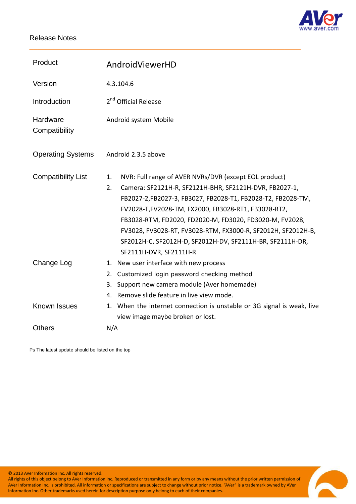

| Product                   | AndroidViewerHD                                                                                                                                                                                                                                                                                                                                                                                                                                                      |
|---------------------------|----------------------------------------------------------------------------------------------------------------------------------------------------------------------------------------------------------------------------------------------------------------------------------------------------------------------------------------------------------------------------------------------------------------------------------------------------------------------|
| Version                   | 4.3.104.6                                                                                                                                                                                                                                                                                                                                                                                                                                                            |
| Introduction              | 2 <sup>nd</sup> Official Release                                                                                                                                                                                                                                                                                                                                                                                                                                     |
| Hardware<br>Compatibility | Android system Mobile                                                                                                                                                                                                                                                                                                                                                                                                                                                |
| <b>Operating Systems</b>  | Android 2.3.5 above                                                                                                                                                                                                                                                                                                                                                                                                                                                  |
| <b>Compatibility List</b> | NVR: Full range of AVER NVRs/DVR (except EOL product)<br>1.<br>2.<br>Camera: SF2121H-R, SF2121H-BHR, SF2121H-DVR, FB2027-1,<br>FB2027-2,FB2027-3, FB3027, FB2028-T1, FB2028-T2, FB2028-TM,<br>FV2028-T, FV2028-TM, FX2000, FB3028-RT1, FB3028-RT2,<br>FB3028-RTM, FD2020, FD2020-M, FD3020, FD3020-M, FV2028,<br>FV3028, FV3028-RT, FV3028-RTM, FX3000-R, SF2012H, SF2012H-B,<br>SF2012H-C, SF2012H-D, SF2012H-DV, SF2111H-BR, SF2111H-DR,<br>SF2111H-DVR, SF2111H-R |
| Change Log                | New user interface with new process<br>1.<br>Customized login password checking method<br>2.<br>Support new camera module (Aver homemade)<br>3.<br>Remove slide feature in live view mode.<br>4.                                                                                                                                                                                                                                                                     |
| <b>Known Issues</b>       | When the internet connection is unstable or 3G signal is weak, live<br>1.<br>view image maybe broken or lost.                                                                                                                                                                                                                                                                                                                                                        |
| <b>Others</b>             | N/A                                                                                                                                                                                                                                                                                                                                                                                                                                                                  |

\_\_\_\_\_\_\_\_\_\_\_\_\_\_\_\_\_\_\_\_\_\_\_\_\_\_\_\_\_\_\_\_\_\_\_\_\_\_\_\_\_\_\_\_\_\_\_\_\_\_\_\_\_\_\_\_\_\_\_\_\_\_\_\_\_\_\_\_

Ps The latest update should be listed on the top

© 2013 AVer Information Inc. All rights reserved.